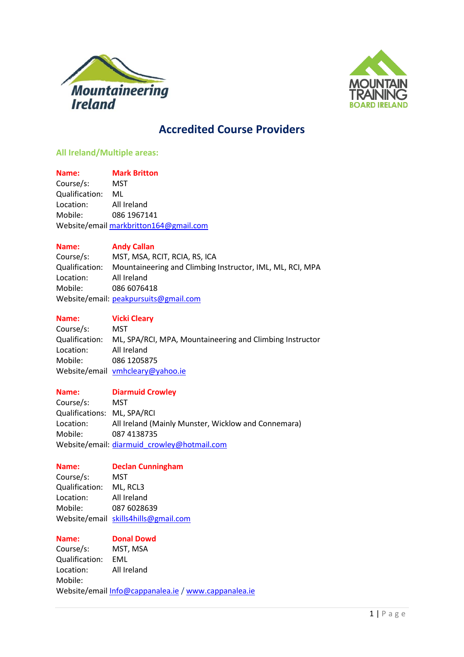



# **Accredited Course Providers**

# **All Ireland/Multiple areas:**

**Name: Mark Britton** Course/s: MST Qualification: ML Location: All Ireland Mobile: 086 1967141 Website/emai[l markbritton164@gmail.com](mailto:markbritton164@gmail.com)

# **Name: Andy Callan**

Course/s: MST, MSA, RCIT, RCIA, RS, ICA Qualification: Mountaineering and Climbing Instructor, IML, ML, RCI, MPA Location: All Ireland Mobile: 086 6076418 Website/email: [peakpursuits@gmail.com](mailto:peakpursuits@gmail.com)

| . . | the contract of the contract of the | a sa |  |
|-----|-------------------------------------|------|--|

# **Vicki Cleary**

Course/s: MST Qualification: ML, SPA/RCI, MPA, Mountaineering and Climbing Instructor Location: All Ireland Mobile: 086 1205875 Website/email [vmhcleary@yahoo.ie](mailto:vmhcleary@yahoo.ie)

### **Name: Diarmuid Crowley**

Course/s: MST Qualifications: ML, SPA/RCI Location: All Ireland (Mainly Munster, Wicklow and Connemara) Mobile: 087 4138735 Website/email: [diarmuid\\_crowley@hotmail.com](mailto:diarmuid_crowley@hotmail.com)

### **Name: Declan Cunningham**

Course/s: MST Qualification: ML, RCL3 Location: All Ireland Mobile: 087 6028639 Website/email [skills4hills@gmail.com](mailto:skills4hills@gmail.com)

**Name: Donal Dowd**

Course/s: MST, MSA Qualification: EML Location: All Ireland Mobile: Website/email [Info@cappanalea.ie](mailto:Info@cappanalea.ie) / [www.cappanalea.ie](http://www.cappanalea.ie/)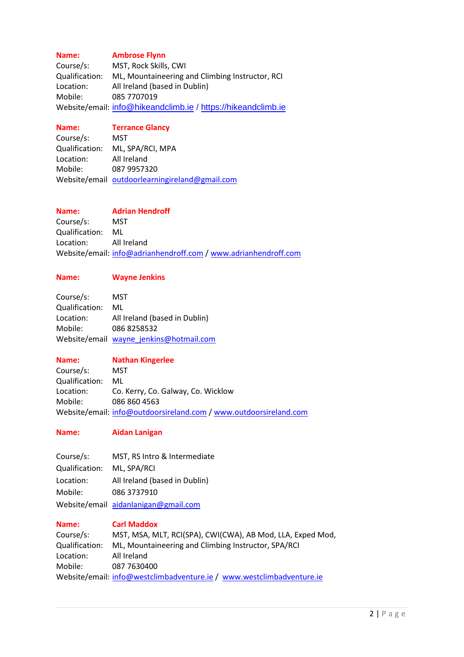# **Name: Ambrose Flynn**

Course/s: MST, Rock Skills, CWI Qualification: ML, Mountaineering and Climbing Instructor, RCI Location: All Ireland (based in Dublin) Mobile: 085 7707019 Website/email: [info@hikeandclimb.ie](mailto:info@hikeandclimb.ie) / https://hikeandclimb.ie

# **Name: Terrance Glancy**

Course/s: MST Qualification: ML, SPA/RCI, MPA Location: All Ireland Mobile: 087 9957320 Website/email [outdoorlearningireland@gmail.com](mailto:outdoorlearningireland@gmail.com)

# **Name: Adrian Hendroff**

Course/s: MST Qualification: ML Location: All Ireland Website/email: [info@adrianhendroff.com](mailto:info@adrianhendroff.com) / [www.adrianhendroff.com](http://www.adrianhendroff.com/)

# **Name: Wayne Jenkins**

| Course/s:      | MST                                     |
|----------------|-----------------------------------------|
| Qualification: | ML                                      |
| Location:      | All Ireland (based in Dublin)           |
| Mobile:        | 0868258532                              |
|                | Website/email wayne jenkins@hotmail.com |

#### **Name: Nathan Kingerlee**

Course/s: MST Qualification: ML Location: Co. Kerry, Co. Galway, Co. Wicklow Mobile: 086 860 4563 Website/email: [info@outdoorsireland.com](mailto:info@outdoorsireland.com) [/ www.outdoorsireland.com](http://www.outdoorsireland.com/)

# **Name: Aidan Lanigan**

Course/s: MST, RS Intro & Intermediate Qualification: ML, SPA/RCI Location: All Ireland (based in Dublin) Mobile: 086 3737910 Website/email [aidanlanigan@gmail.com](mailto:aidanlanigan@gmail.com)

### **Name: Carl Maddox**

Course/s: MST, MSA, MLT, RCI(SPA), CWI(CWA), AB Mod, LLA, Exped Mod, Qualification: ML, Mountaineering and Climbing Instructor, SPA/RCI Location: All Ireland Mobile: 087 7630400 Website/email: [info@westclimbadventure.ie](mailto:info@westclimbadventure.ie) / [www.westclimbadventure.ie](http://www.westclimbadventure.ie/)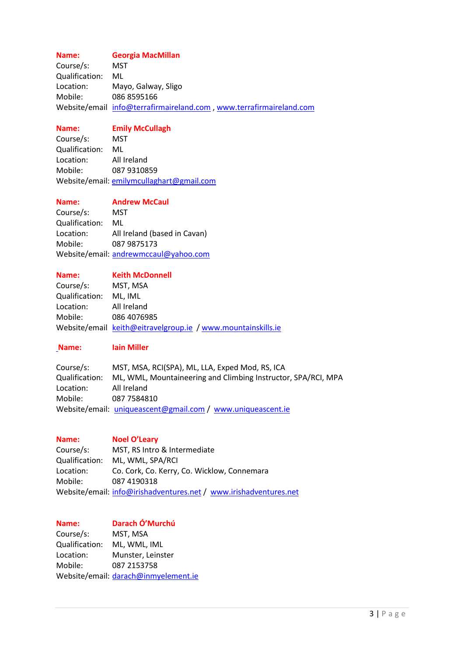# **Name: Georgia MacMillan**

Course/s: MST Qualification: ML Location: Mayo, Galway, Sligo Mobile: 086 8595166 Website/email [info@terrafirmaireland.com](mailto:info@terrafirmaireland.com) , [www.terrafirmaireland.com](http://www.terrafirmaireland.com/)

### **Name: Emily McCullagh**

Course/s: MST Qualification: ML Location: All Ireland Mobile: 087 9310859 Website/email: [emilymcullaghart@gmail.com](mailto:emilymcullaghart@gmail.com)

**Name: Andrew McCaul**

Course/s: MST Qualification: ML Location: All Ireland (based in Cavan) Mobile: 087 9875173 Website/email: [andrewmccaul@yahoo.com](mailto:andrewmccaul@yahoo.com)

# **Name: Keith McDonnell** Course/s: MST, MSA Qualification: ML, IML Location: All Ireland Mobile: 086 4076985 Website/email [keith@eitravelgroup.ie](mailto:keith@eitravelgroup.ie) / [www.mountainskills.ie](http://www.mountainskills.ie/)

### **Name: Iain Miller**

| Course/s:      | MST, MSA, RCI(SPA), ML, LLA, Exped Mod, RS, ICA               |
|----------------|---------------------------------------------------------------|
| Qualification: | ML, WML, Mountaineering and Climbing Instructor, SPA/RCI, MPA |
| Location:      | All Ireland                                                   |
| Mobile:        | 087 7584810                                                   |
|                | Website/email: uniqueascent@gmail.com / www.uniqueascent.ie   |

| Name:          | <b>Noel O'Leary</b>                                               |
|----------------|-------------------------------------------------------------------|
| Course/s:      | MST, RS Intro & Intermediate                                      |
| Qualification: | ML, WML, SPA/RCI                                                  |
| Location:      | Co. Cork, Co. Kerry, Co. Wicklow, Connemara                       |
| Mobile:        | 087 4190318                                                       |
|                | Website/email: info@irishadventures.net / www.irishadventures.net |

# **Name: Darach Ó'Murchú** Course/s: MST, MSA Qualification: ML, WML, IML Location: Munster, Leinster Mobile: 087 2153758 Website/email: [darach@inmyelement.ie](mailto:darach@inmyelement.ie)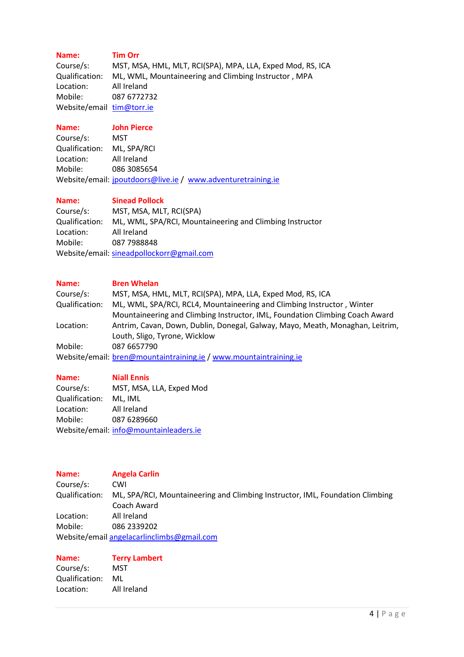# **Name: Tim Orr**

Course/s: MST, MSA, HML, MLT, RCI(SPA), MPA, LLA, Exped Mod, RS, ICA Qualification: ML, WML, Mountaineering and Climbing Instructor , MPA Location: All Ireland Mobile: 087 6772732 Website/email [tim@torr.ie](mailto:tim@torr.ie)

# **Name: John Pierce**

Course/s: MST Qualification: ML, SPA/RCI Location: All Ireland Mobile: 086 3085654 Website/email: [jpoutdoors@live.ie](mailto:jpoutdoors@live.ie) / [www.adventuretraining.ie](http://www.adventuretraining.ie/)

# **Name: Sinead Pollock**

Course/s: MST, MSA, MLT, RCI(SPA) Qualification: ML, WML, SPA/RCI, Mountaineering and Climbing Instructor Location: All Ireland Mobile: 087 7988848 Website/email: [sineadpollockorr@gmail.com](mailto:sineadpollockorr@gmail.com)

# **Name: Bren Whelan**

| Course/s:      | MST, MSA, HML, MLT, RCI(SPA), MPA, LLA, Exped Mod, RS, ICA                    |
|----------------|-------------------------------------------------------------------------------|
| Qualification: | ML, WML, SPA/RCI, RCL4, Mountaineering and Climbing Instructor, Winter        |
|                | Mountaineering and Climbing Instructor, IML, Foundation Climbing Coach Award  |
| Location:      | Antrim, Cavan, Down, Dublin, Donegal, Galway, Mayo, Meath, Monaghan, Leitrim, |
|                | Louth, Sligo, Tyrone, Wicklow                                                 |
| Mobile:        | 087 6657790                                                                   |
|                | Website/email: bren@mountaintraining.ie / www.mountaintraining.ie             |
|                |                                                                               |

| Name:          | <b>Niall Ennis</b>                     |
|----------------|----------------------------------------|
| Course/s:      | MST, MSA, LLA, Exped Mod               |
| Qualification: | ML. IML                                |
| Location:      | All Ireland                            |
| Mobile:        | 087 6289660                            |
|                | Website/email: info@mountainleaders.ie |

| <b>Name:</b>   | <b>Angela Carlin</b>                                                          |
|----------------|-------------------------------------------------------------------------------|
| Course/s:      | CWI                                                                           |
| Qualification: | ML, SPA/RCI, Mountaineering and Climbing Instructor, IML, Foundation Climbing |
|                | Coach Award                                                                   |
| Location:      | All Ireland                                                                   |
| Mobile:        | 086 2339202                                                                   |
|                | Website/email angelacarlinclimbs@gmail.com                                    |

| Name:          | <b>Terry Lambert</b> |
|----------------|----------------------|
| Course/s:      | MST                  |
| Qualification: | ML                   |
| Location:      | All Ireland          |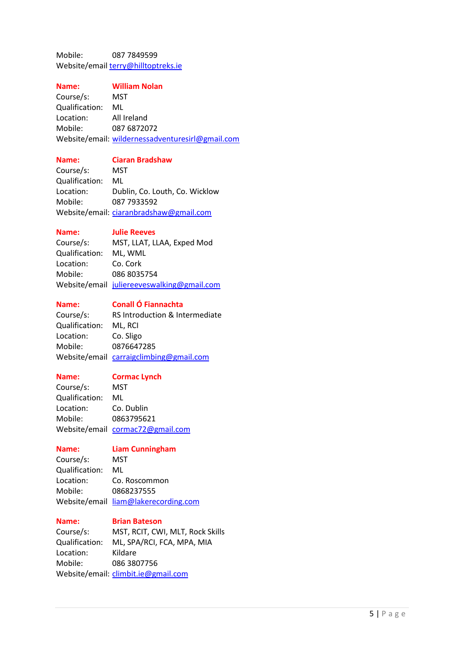Mobile: 087 7849599 Website/emai[l terry@hilltoptreks.ie](mailto:terry@hilltoptreks.ie)

#### **Name: William Nolan**

Course/s: MST Qualification: ML Location: All Ireland Mobile: 087 6872072 Website/email: [wildernessadventuresirl@gmail.com](mailto:wildernessadventuresirl@gmail.com)

#### **Name: Ciaran Bradshaw**

Course/s: MST Qualification: ML Location: Dublin, Co. Louth, Co. Wicklow Mobile: 087 7933592 Website/email: [ciaranbradshaw@gmail.com](mailto:ciaranbradshaw@gmail.com)

#### **Name: Julie Reeves**

Course/s: MST, LLAT, LLAA, Exped Mod Qualification: ML, WML Location: Co. Cork Mobile: 086 8035754 Website/email [juliereeveswalking@gmail.com](mailto:juliereeveswalking@gmail.com)

**Name: Conall Ó Fiannachta**

Course/s: RS Introduction & Intermediate Qualification: ML, RCI Location: Co. Sligo Mobile: 0876647285 Website/email [carraigclimbing@gmail.com](mailto:carraigclimbing@gmail.com)

### **Name: Cormac Lynch**

Course/s: MST Qualification: ML Location: Co. Dublin Mobile: 0863795621 Website/email [cormac72@gmail.com](mailto:cormac72@gmail.com)

**Name: Liam Cunningham**

Course/s: MST Qualification: ML Location: Co. Roscommon Mobile: 0868237555 Website/email [liam@lakerecording.com](mailto:liam@lakerecording.com)

### **Name: Brian Bateson**

Course/s: MST, RCIT, CWI, MLT, Rock Skills Qualification: ML, SPA/RCI, FCA, MPA, MIA Location: Kildare Mobile: 086 3807756 Website/email: [climbit.ie@gmail.com](mailto:climbit.ie@gmail.com)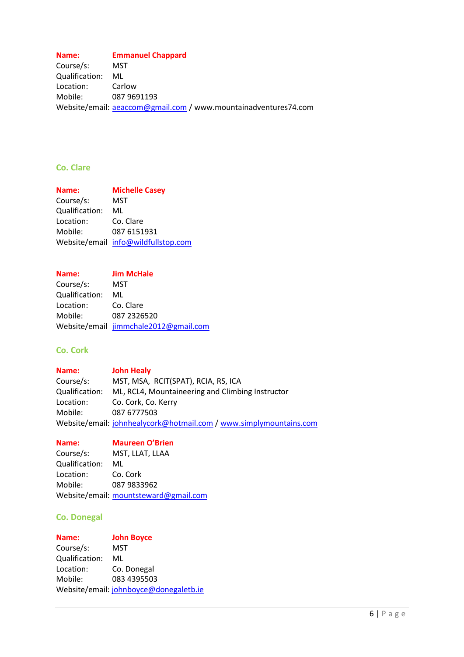# **Name: Emmanuel Chappard**

Course/s: MST Qualification: ML Location: Carlow Mobile: 087 9691193 Website/email: <u>[aeaccom@gmail.com](mailto:aeaccom@gmail.com)</u> / www.mountainadventures74.com

# **Co. Clare**

| Name:          | <b>Michelle Casey</b>               |
|----------------|-------------------------------------|
| Course/s:      | MST                                 |
| Qualification: | ML                                  |
| Location:      | Co. Clare                           |
| Mobile:        | 087 6151931                         |
|                | Website/email info@wildfullstop.com |

| <b>Name:</b>   | <b>Jim McHale</b>                     |
|----------------|---------------------------------------|
| Course/s:      | MST                                   |
| Qualification: | ML                                    |
| Location:      | Co. Clare                             |
| Mobile:        | 087 2326520                           |
|                | Website/email jimmchale2012@gmail.com |

# **Co. Cork**

| Name:          | <b>John Healy</b>                                                  |
|----------------|--------------------------------------------------------------------|
| Course/s:      | MST, MSA, RCIT(SPAT), RCIA, RS, ICA                                |
| Qualification: | ML, RCL4, Mountaineering and Climbing Instructor                   |
| Location:      | Co. Cork, Co. Kerry                                                |
| Mobile:        | 087 6777503                                                        |
|                | Website/email: johnhealycork@hotmail.com / www.simplymountains.com |

### **Name: Maureen O'Brien**

| Course/s:      | MST, LLAT, LLAA                       |
|----------------|---------------------------------------|
| Qualification: | ML                                    |
| Location:      | Co. Cork                              |
| Mobile:        | 087 9833962                           |
|                | Website/email: mountsteward@gmail.com |

# **Co. Donegal**

| <b>Name:</b>   | <b>John Boyce</b>                      |
|----------------|----------------------------------------|
| Course/s:      | MST                                    |
| Qualification: | ML                                     |
| Location:      | Co. Donegal                            |
| Mobile:        | 083 4395503                            |
|                | Website/email: johnboyce@donegaletb.ie |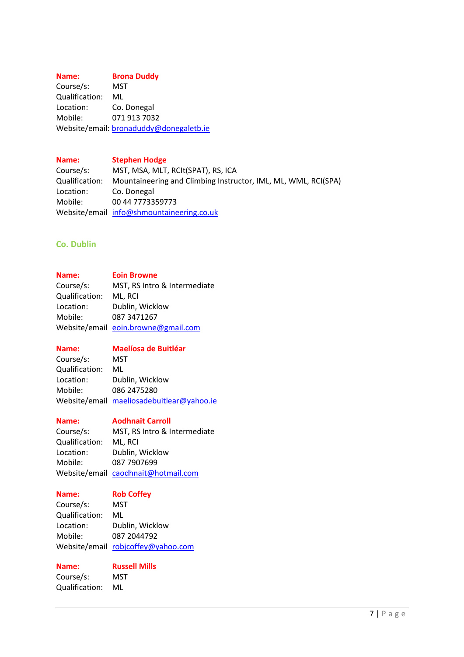#### **Name: Brona Duddy**

Course/s: MST Qualification: ML Location: Co. Donegal Mobile: 071 913 7032 Website/email: [bronaduddy@donegaletb.ie](mailto:bronaduddy@donegaletb.ie)

### **Name: Stephen Hodge**

Course/s: MST, MSA, MLT, RCIt(SPAT), RS, ICA Qualification: Mountaineering and Climbing Instructor, IML, ML, WML, RCI(SPA) Location: Co. Donegal Mobile: 00 44 7773359773 Website/email [info@shmountaineering.co.uk](mailto:info@shmountaineering.co.uk)

# **Co. Dublin**

### **Name: Eoin Browne**

Course/s: MST, RS Intro & Intermediate Qualification: ML, RCI Location: Dublin, Wicklow Mobile: 087 3471267 Website/email [eoin.browne@gmail.com](mailto:eoin.browne@gmail.com)

### **Name: Maelíosa de Buitléar**

Course/s: MST Qualification: ML Location: Dublin, Wicklow Mobile: 086 2475280 Website/email [maeliosadebuitlear@yahoo.ie](mailto:maeliosadebuitlear@yahoo.ie)

# **Name: Aodhnait Carroll**

Course/s: MST, RS Intro & Intermediate Qualification: ML, RCI Location: Dublin, Wicklow Mobile: 087 7907699 Website/email [caodhnait@hotmail.com](mailto:caodhnait@hotmail.com)

# **Name: Rob Coffey**

Course/s: MST Qualification: ML Location: Dublin, Wicklow Mobile: 087 2044792 Website/email [robjcoffey@yahoo.com](mailto:robjcoffey@yahoo.com)

**Name: Russell Mills**

Course/s: MST Qualification: ML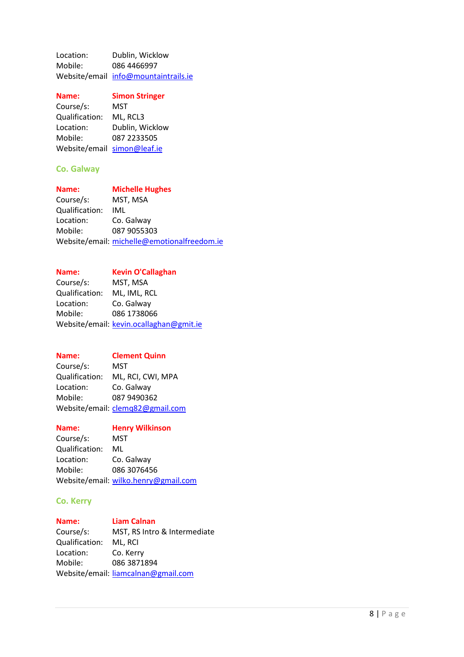Location: Dublin, Wicklow Mobile: 086 4466997 Website/email [info@mountaintrails.ie](mailto:info@mountaintrails.ie)

| Name:                       | <b>Simon Stringer</b> |
|-----------------------------|-----------------------|
| Course/s:                   | MST                   |
| Qualification:              | ML, RCL3              |
| Location:                   | Dublin, Wicklow       |
| Mobile:                     | 087 2233505           |
| Website/email simon@leaf.ie |                       |

### **Co. Galway**

| Name:          | <b>Michelle Hughes</b>                      |
|----------------|---------------------------------------------|
| Course/s:      | MST, MSA                                    |
| Qualification: | IML                                         |
| Location:      | Co. Galway                                  |
| Mobile:        | 087 9055303                                 |
|                | Website/email: michelle@emotionalfreedom.ie |

# **Name: Kevin O'Callaghan**

Course/s: MST, MSA Qualification: ML, IML, RCL<br>Location: Co. Galway Co. Galway Mobile: 086 1738066 Website/email: [kevin.ocallaghan@gmit.ie](mailto:kevin.ocallaghan@gmit.ie)

# **Name: Clement Quinn**

Course/s: MST Qualification: ML, RCI, CWI, MPA Location: Co. Galway Mobile: 087 9490362 Website/email: [clemq82@gmail.com](mailto:clemq82@gmail.com)

# **Name: Henry Wilkinson** Course/s: MST Qualification: ML Location: Co. Galway Mobile: 086 3076456 Website/email: [wilko.henry@gmail.com](mailto:wilko.henry@gmail.com)

### **Co. Kerry**

**Name: Liam Calnan** Course/s: MST, RS Intro & Intermediate Qualification: ML, RCI Location: Co. Kerry Mobile: 086 3871894 Website/email: [liamcalnan@gmail.com](mailto:liamcalnan@gmail.com)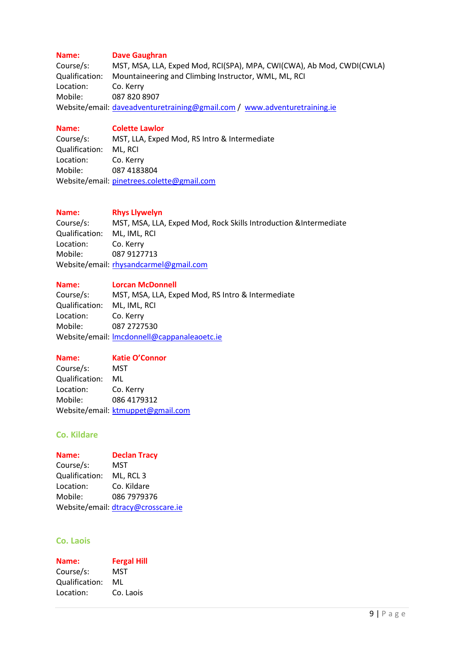# **Name: Dave Gaughran**

Course/s: MST, MSA, LLA, Exped Mod, RCI(SPA), MPA, CWI(CWA), Ab Mod, CWDI(CWLA) Qualification: Mountaineering and Climbing Instructor, WML, ML, RCI Location: Co. Kerry Mobile: 087 820 8907 Website/email: [daveadventuretraining@gmail.com](mailto:daveadventuretraining@gmail.com) / [www.adventuretraining.ie](http://www.adventuretraining.ie/)

### **Name: Colette Lawlor**

Course/s: MST, LLA, Exped Mod, RS Intro & Intermediate Qualification: ML, RCI Location: Co. Kerry Mobile: 087 4183804 Website/email: [pinetrees.colette@gmail.com](mailto:pinetrees.colette@gmail.com)

# **Name: Rhys Llywelyn**

Course/s: MST, MSA, LLA, Exped Mod, Rock Skills Introduction &Intermediate Qualification: ML, IML, RCI Location: Co. Kerry Mobile: 087 9127713 Website/email: [rhysandcarmel@gmail.com](mailto:rhysandcarmel@gmail.com)

### **Name: Lorcan McDonnell**

Course/s: MST, MSA, LLA, Exped Mod, RS Intro & Intermediate Qualification: ML, IML, RCI Location: Co. Kerry Mobile: 087 2727530 Website/email: [lmcdonnell@cappanaleaoetc.ie](mailto:lmcdonnell@cappanaleaoetc.ie)

### **Name: Katie O'Connor**

Course/s: MST Qualification: ML Location: Co. Kerry Mobile: 086 4179312 Website/email: [ktmuppet@gmail.com](mailto:ktmuppet@gmail.com)

# **Co. Kildare**

| Name:          | <b>Declan Tracy</b>                |
|----------------|------------------------------------|
| Course/s:      | MST                                |
| Qualification: | ML, RCL 3                          |
| Location:      | Co. Kildare                        |
| Mobile:        | 086 7979376                        |
|                | Website/email: dtracy@crosscare.ie |

### **Co. Laois**

| Name:          | <b>Fergal Hill</b> |
|----------------|--------------------|
| Course/s:      | MST                |
| Qualification: | ML                 |
| Location:      | Co. Laois          |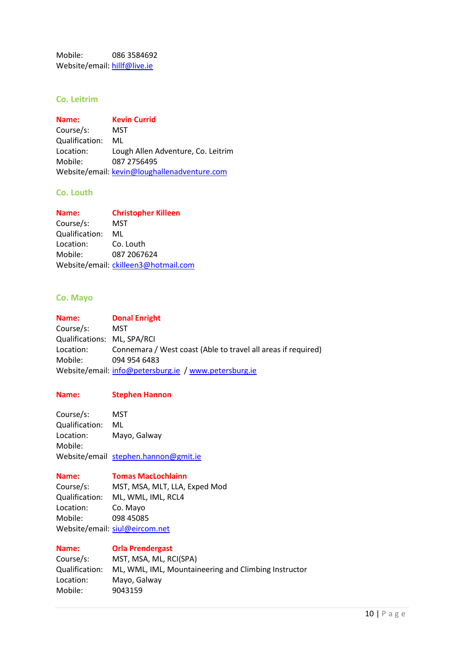Mobile: 086 3584692 Website/email: [hillf@live.ie](mailto:hillf@live.ie)

# **Co. Leitrim**

**Name: Kevin Currid** Course/s: MST Qualification: ML Location: Lough Allen Adventure, Co. Leitrim Mobile: 087 2756495 Website/email: [kevin@loughallenadventure.com](mailto:kevin@loughallenadventure.com)

### **Co. Louth**

| Name:          | <b>Christopher Killeen</b>           |
|----------------|--------------------------------------|
| Course/s:      | MST                                  |
| Qualification: | ML                                   |
| Location:      | Co. Louth                            |
| Mobile:        | 087 2067624                          |
|                | Website/email: ckilleen3@hotmail.com |

# **Co. Mayo**

**Name: Donal Enright**  Course/s: MST Qualifications: ML, SPA/RCI Location: Connemara / West coast (Able to travel all areas if required) Mobile: 094 954 6483 Website/email: [info@petersburg.ie](mailto:info@petersburg.ie) / [www.petersburg.ie](http://www.petersburg.ie/)

#### **Name: Stephen Hannon**

Course/s: MST Qualification: ML Location: Mayo, Galway Mobile: Website/email [stephen.hannon@gmit.ie](mailto:stephen.hannon@gmit.ie)

#### **Name: Tomas MacLochlainn**

Course/s: MST, MSA, MLT, LLA, Exped Mod Qualification: ML, WML, IML, RCL4 Location: Co. Mayo Mobile: 098 45085 Website/email: [siul@eircom.net](mailto:siul@eircom.net)

### **Name: Orla Prendergast**

| Course/s:      | MST, MSA, ML, RCI(SPA)                               |
|----------------|------------------------------------------------------|
| Qualification: | ML, WML, IML, Mountaineering and Climbing Instructor |
| Location:      | Mayo, Galway                                         |
| Mobile:        | 9043159                                              |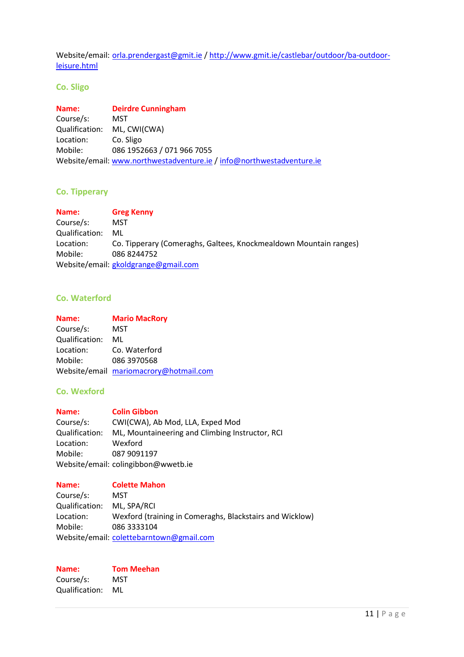Website/email: [orla.prendergast@gmit.ie](mailto:orla.prendergast@gmit.ie) [/ http://www.gmit.ie/castlebar/outdoor/ba-outdoor](http://www.gmit.ie/castlebar/outdoor/ba-outdoor-leisure.html)[leisure.html](http://www.gmit.ie/castlebar/outdoor/ba-outdoor-leisure.html)

# **Co. Sligo**

| Name:          | <b>Deirdre Cunningham</b>                                             |
|----------------|-----------------------------------------------------------------------|
| Course/s:      | MST                                                                   |
| Qualification: | ML, CWI(CWA)                                                          |
| Location:      | Co. Sligo                                                             |
| Mobile:        | 086 1952663 / 071 966 7055                                            |
|                | Website/email: www.northwestadventure.ie / info@northwestadventure.ie |

# **Co. Tipperary**

| Name:          | <b>Greg Kenny</b>                                                 |
|----------------|-------------------------------------------------------------------|
| Course/s:      | MST                                                               |
| Qualification: | ML                                                                |
| Location:      | Co. Tipperary (Comeraghs, Galtees, Knockmealdown Mountain ranges) |
| Mobile:        | 086 8244752                                                       |
|                | Website/email: gkoldgrange@gmail.com                              |

# **Co. Waterford**

| Name:          | <b>Mario MacRory</b>                   |
|----------------|----------------------------------------|
| Course/s:      | MST                                    |
| Qualification: | ML                                     |
| Location:      | Co. Waterford                          |
| Mobile:        | 086 3970568                            |
|                | Website/email mariomacrory@hotmail.com |

# **Co. Wexford**

| Name:          | <b>Colin Gibbon</b>                             |
|----------------|-------------------------------------------------|
| Course/s:      | CWI(CWA), Ab Mod, LLA, Exped Mod                |
| Qualification: | ML, Mountaineering and Climbing Instructor, RCI |
| Location:      | Wexford                                         |
| Mobile:        | 087 9091197                                     |
|                | Website/email: colingibbon@wwetb.ie             |

# **Name: Colette Mahon**

Course/s: MST Qualification: ML, SPA/RCI Location: Wexford (training in Comeraghs, Blackstairs and Wicklow) Mobile: 086 3333104 Website/email: [colettebarntown@gmail.com](mailto:colettebarntown@gmail.com)

# **Name: Tom Meehan**<br>Course/s: **MST** Course/s: Qualification: ML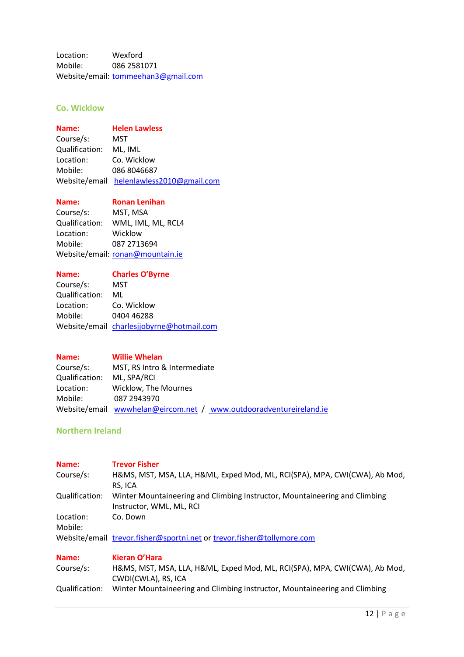Location: Wexford Mobile: 086 2581071 Website/email: [tommeehan3@gmail.com](mailto:tommeehan3@gmail.com)

# **Co. Wicklow**

# **Name: Helen Lawless**

Course/s: MST Qualification: ML, IML Location: Co. Wicklow Mobile: 086 8046687 Website/email [helenlawless2010@gmail.com](mailto:helenlawless2010@gmail.com)

**Name: Ronan Lenihan**

Course/s: MST, MSA Qualification: WML, IML, ML, RCL4 Location: Wicklow Mobile: 087 2713694 Website/email: [ronan@mountain.ie](mailto:ronan@mountain.ie)

**Name: Charles O'Byrne**

| Course/s:      | MST.                                      |
|----------------|-------------------------------------------|
| Qualification: | ML                                        |
| Location:      | Co. Wicklow                               |
| Mobile:        | 0404 46288                                |
|                | Website/email charlesjjobyrne@hotmail.com |

| Name:                      | <b>Willie Whelan</b>                                               |
|----------------------------|--------------------------------------------------------------------|
| Course/s:                  | MST, RS Intro & Intermediate                                       |
| Qualification: ML, SPA/RCI |                                                                    |
| Location:                  | Wicklow. The Mournes                                               |
| Mobile:                    | 087 2943970                                                        |
|                            | Website/email wwwhelan@eircom.net / www.outdooradventureireland.ie |

# **Northern Ireland**

| Name:<br>Course/s: | <b>Trevor Fisher</b><br>H&MS, MST, MSA, LLA, H&ML, Exped Mod, ML, RCI(SPA), MPA, CWI(CWA), Ab Mod,<br>RS, ICA |
|--------------------|---------------------------------------------------------------------------------------------------------------|
| Qualification:     | Winter Mountaineering and Climbing Instructor, Mountaineering and Climbing<br>Instructor, WML, ML, RCI        |
| Location:          | Co. Down                                                                                                      |
| Mobile:            |                                                                                                               |
|                    | Website/email trevor.fisher@sportni.net or trevor.fisher@tollymore.com                                        |
| Name:              | Kieran O'Hara                                                                                                 |
| Course/s:          | H&MS, MST, MSA, LLA, H&ML, Exped Mod, ML, RCI(SPA), MPA, CWI(CWA), Ab Mod,<br>CWDI(CWLA), RS, ICA             |
| Qualification:     | Winter Mountaineering and Climbing Instructor, Mountaineering and Climbing                                    |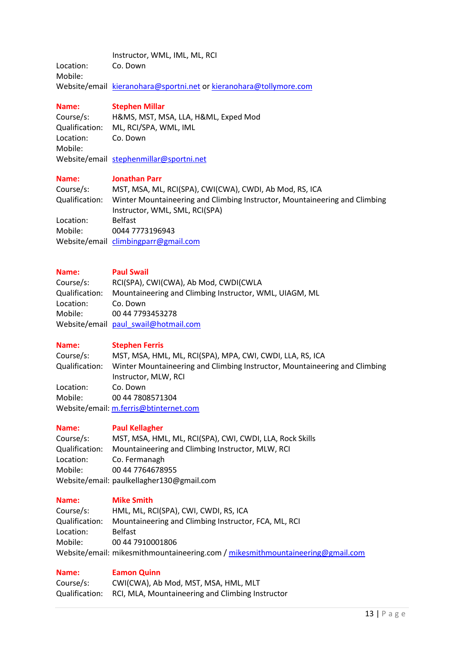|           | Instructor, WML, IML, ML, RCI                                      |
|-----------|--------------------------------------------------------------------|
| Location: | Co. Down                                                           |
| Mobile:   |                                                                    |
|           | Website/email kieranohara@sportni.net or kieranohara@tollymore.com |

# **Name: Stephen Millar**

| Course/s:      | H&MS, MST, MSA, LLA, H&ML, Exped Mod    |
|----------------|-----------------------------------------|
| Qualification: | ML, RCI/SPA, WML, IML                   |
| Location:      | Co. Down                                |
| Mobile:        |                                         |
|                | Website/email stephenmillar@sportni.net |

# **Name: Jonathan Parr**

| Course/s:      | MST, MSA, ML, RCI(SPA), CWI(CWA), CWDI, Ab Mod, RS, ICA                    |
|----------------|----------------------------------------------------------------------------|
| Qualification: | Winter Mountaineering and Climbing Instructor, Mountaineering and Climbing |
|                | Instructor, WML, SML, RCI(SPA)                                             |
| Location:      | <b>Belfast</b>                                                             |
| Mobile:        | 0044 7773196943                                                            |
|                | Website/email climbingparr@gmail.com                                       |

# **Name: Paul Swail**

| .              | .                                                      |
|----------------|--------------------------------------------------------|
| Course/s:      | RCI(SPA), CWI(CWA), Ab Mod, CWDI(CWLA                  |
| Qualification: | Mountaineering and Climbing Instructor, WML, UIAGM, ML |
| Location:      | Co. Down                                               |
| Mobile:        | 00 44 7793453278                                       |
|                | Website/email paul swail@hotmail.com                   |

### **Name: Stephen Ferris**

| Course/s:      | MST, MSA, HML, ML, RCI(SPA), MPA, CWI, CWDI, LLA, RS, ICA                  |
|----------------|----------------------------------------------------------------------------|
| Qualification: | Winter Mountaineering and Climbing Instructor, Mountaineering and Climbing |
|                | Instructor, MLW, RCI                                                       |
| Location:      | Co. Down                                                                   |
| Mobile:        | 00 44 7808571304                                                           |
|                | Website/email: m.ferris@btinternet.com                                     |

# **Name: Paul Kellagher**

| Course/s:                                 | MST, MSA, HML, ML, RCI(SPA), CWI, CWDI, LLA, Rock Skills |  |
|-------------------------------------------|----------------------------------------------------------|--|
| Qualification:                            | Mountaineering and Climbing Instructor, MLW, RCI         |  |
| Location:                                 | Co. Fermanagh                                            |  |
| Mobile:                                   | 00 44 7764678955                                         |  |
| Website/email: paulkellagher130@gmail.com |                                                          |  |

# **Name: Mike Smith**

| Course/s:      | HML, ML, RCI(SPA), CWI, CWDI, RS, ICA                                          |
|----------------|--------------------------------------------------------------------------------|
| Qualification: | Mountaineering and Climbing Instructor, FCA, ML, RCI                           |
| Location:      | <b>Belfast</b>                                                                 |
| Mobile:        | 00 44 7910001806                                                               |
|                | Website/email: mikesmithmountaineering.com / mikesmithmountaineering@gmail.com |

# **Name: Eamon Quinn**

| Course/s:      | CWI(CWA), Ab Mod, MST, MSA, HML, MLT             |
|----------------|--------------------------------------------------|
| Qualification: | RCI, MLA, Mountaineering and Climbing Instructor |